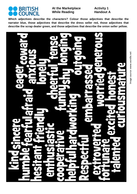

**At the Marketplace While Reading** 

## **Activity 1 Handout A**

**Which adjectives describe the characters? Colour those adjectives that describe the narrator blue, those adjectives that describe the dress seller red, those adjectives that describe the scrap dealer green, and those adjectives that describe the onion seller yellow.**

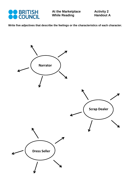

**Write five adjectives that describe the feelings or the characteristics of each character.** 

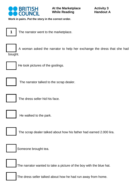

**Work in pairs. Put the story in the correct order.** 



The narrator went to the marketplace.



A woman asked the narrator to help her exchange the dress that she had bought.



He took pictures of the goslings.



The narrator talked to the scrap dealer.



The dress seller hid his face.



He walked to the park.



The scrap dealer talked about how his father had earned 2.000 lira.



Someone brought tea.



The narrator wanted to take a picture of the boy with the blue hat.



The dress seller talked about how he had run away from home.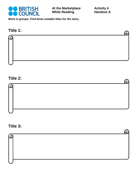

**Work in groups. Find three suitable titles for the story.**



## **Title 2:**

| IJ |  |
|----|--|
|    |  |
|    |  |
|    |  |

## **Title 3:**

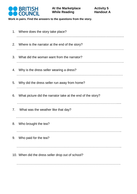

**Work in pairs. Find the answers to the questions from the story.** 

| 1 <sub>1</sub> | Where does the story take place?                            |
|----------------|-------------------------------------------------------------|
| 2.             | Where is the narrator at the end of the story?              |
| 3.             | What did the woman want from the narrator?                  |
| 4.             | Why is the dress seller wearing a dress?                    |
| 5.             | Why did the dress seller run away from home?                |
| 6.             | What picture did the narrator take at the end of the story? |
| 7.             | What was the weather like that day?                         |
| 8.             | Who brought the tea?                                        |
| 9.             | Who paid for the tea?                                       |
|                | 10. When did the dress seller drop out of school?           |

…………………………………………………………………………………….